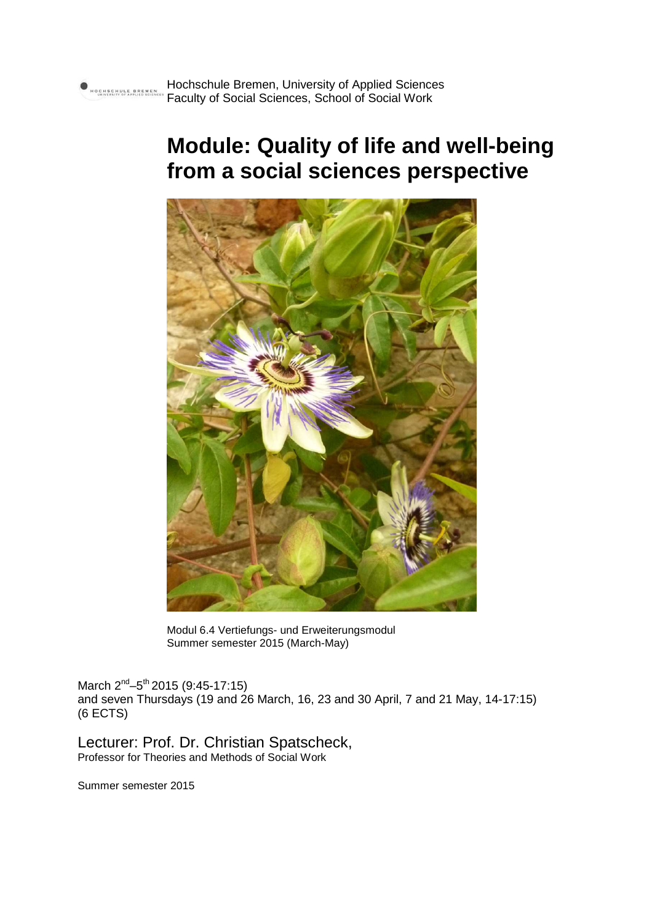# **Module: Quality of life and well-being from a social sciences perspective**



Modul 6.4 Vertiefungs- und Erweiterungsmodul Summer semester 2015 (March-May)

March 2<sup>nd</sup>–5<sup>th</sup> 2015 (9:45-17:15) and seven Thursdays (19 and 26 March, 16, 23 and 30 April, 7 and 21 May, 14-17:15) (6 ECTS)

Lecturer: Prof. Dr. Christian Spatscheck, Professor for Theories and Methods of Social Work

Summer semester 2015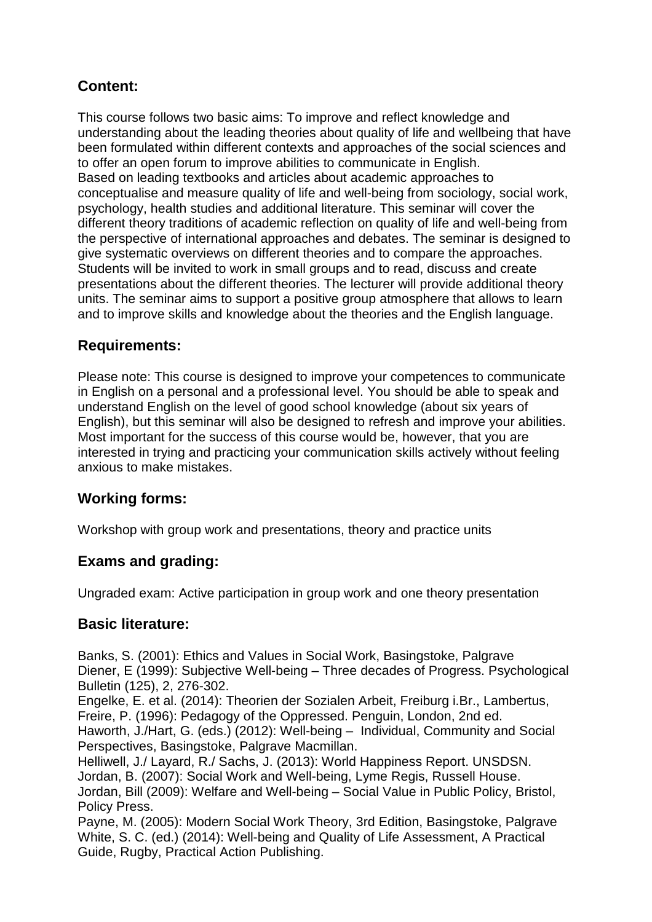# **Content:**

This course follows two basic aims: To improve and reflect knowledge and understanding about the leading theories about quality of life and wellbeing that have been formulated within different contexts and approaches of the social sciences and to offer an open forum to improve abilities to communicate in English. Based on leading textbooks and articles about academic approaches to conceptualise and measure quality of life and well-being from sociology, social work, psychology, health studies and additional literature. This seminar will cover the different theory traditions of academic reflection on quality of life and well-being from the perspective of international approaches and debates. The seminar is designed to give systematic overviews on different theories and to compare the approaches. Students will be invited to work in small groups and to read, discuss and create presentations about the different theories. The lecturer will provide additional theory units. The seminar aims to support a positive group atmosphere that allows to learn and to improve skills and knowledge about the theories and the English language.

# **Requirements:**

Please note: This course is designed to improve your competences to communicate in English on a personal and a professional level. You should be able to speak and understand English on the level of good school knowledge (about six years of English), but this seminar will also be designed to refresh and improve your abilities. Most important for the success of this course would be, however, that you are interested in trying and practicing your communication skills actively without feeling anxious to make mistakes.

# **Working forms:**

Workshop with group work and presentations, theory and practice units

# **Exams and grading:**

Ungraded exam: Active participation in group work and one theory presentation

# **Basic literature:**

Banks, S. (2001): Ethics and Values in Social Work, Basingstoke, Palgrave Diener, E (1999): Subjective Well-being – Three decades of Progress. Psychological Bulletin (125), 2, 276-302.

Engelke, E. et al. (2014): Theorien der Sozialen Arbeit, Freiburg i.Br., Lambertus, Freire, P. (1996): Pedagogy of the Oppressed. Penguin, London, 2nd ed.

Haworth, J./Hart, G. (eds.) (2012): Well-being – Individual, Community and Social Perspectives, Basingstoke, Palgrave Macmillan.

Helliwell, J./ Layard, R./ Sachs, J. (2013): World Happiness Report. UNSDSN. Jordan, B. (2007): Social Work and Well-being, Lyme Regis, Russell House. Jordan, Bill (2009): Welfare and Well-being – Social Value in Public Policy, Bristol, Policy Press.

Payne, M. (2005): Modern Social Work Theory, 3rd Edition, Basingstoke, Palgrave White, S. C. (ed.) (2014): Well-being and Quality of Life Assessment, A Practical Guide, Rugby, Practical Action Publishing.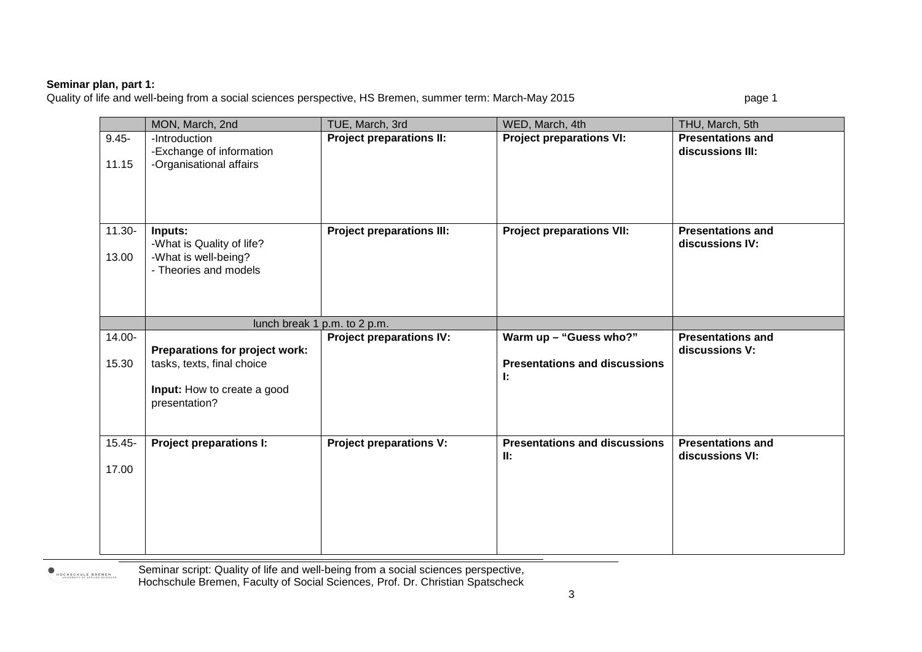**Seminar plan, part 1:**<br>Quality of life and well-being from a social sciences perspective, HS Bremen, summer term: March-May 2015 page 1

|           | MON, March, 2nd                               | TUE, March, 3rd                  | WED, March, 4th                      | THU, March, 5th          |
|-----------|-----------------------------------------------|----------------------------------|--------------------------------------|--------------------------|
| $9.45 -$  | -Introduction                                 | <b>Project preparations II:</b>  | <b>Project preparations VI:</b>      | <b>Presentations and</b> |
|           | -Exchange of information                      |                                  |                                      | discussions III:         |
| 11.15     | -Organisational affairs                       |                                  |                                      |                          |
|           |                                               |                                  |                                      |                          |
|           |                                               |                                  |                                      |                          |
|           |                                               |                                  |                                      |                          |
| $11.30 -$ | Inputs:                                       | <b>Project preparations III:</b> | <b>Project preparations VII:</b>     | <b>Presentations and</b> |
|           | -What is Quality of life?                     |                                  |                                      | discussions IV:          |
| 13.00     | -What is well-being?<br>- Theories and models |                                  |                                      |                          |
|           |                                               |                                  |                                      |                          |
|           |                                               |                                  |                                      |                          |
|           |                                               |                                  |                                      |                          |
|           |                                               | lunch break 1 p.m. to 2 p.m.     |                                      |                          |
| 14.00-    |                                               | <b>Project preparations IV:</b>  | Warm up - "Guess who?"               | <b>Presentations and</b> |
|           |                                               |                                  |                                      |                          |
|           | Preparations for project work:                |                                  |                                      | discussions V:           |
| 15.30     | tasks, texts, final choice                    |                                  | <b>Presentations and discussions</b> |                          |
|           |                                               |                                  | Ŀ.                                   |                          |
|           | Input: How to create a good<br>presentation?  |                                  |                                      |                          |
|           |                                               |                                  |                                      |                          |
|           |                                               |                                  |                                      |                          |
| $15.45 -$ | <b>Project preparations I:</b>                | <b>Project preparations V:</b>   | <b>Presentations and discussions</b> | <b>Presentations and</b> |
| 17.00     |                                               |                                  | II:                                  | discussions VI:          |
|           |                                               |                                  |                                      |                          |
|           |                                               |                                  |                                      |                          |
|           |                                               |                                  |                                      |                          |
|           |                                               |                                  |                                      |                          |

HOCHSCHULE BREMEN

Seminar script: Quality of life and well-being from a social sciences perspective, Hochschule Bremen, Faculty of Social Sciences, Prof. Dr. Christian Spatscheck